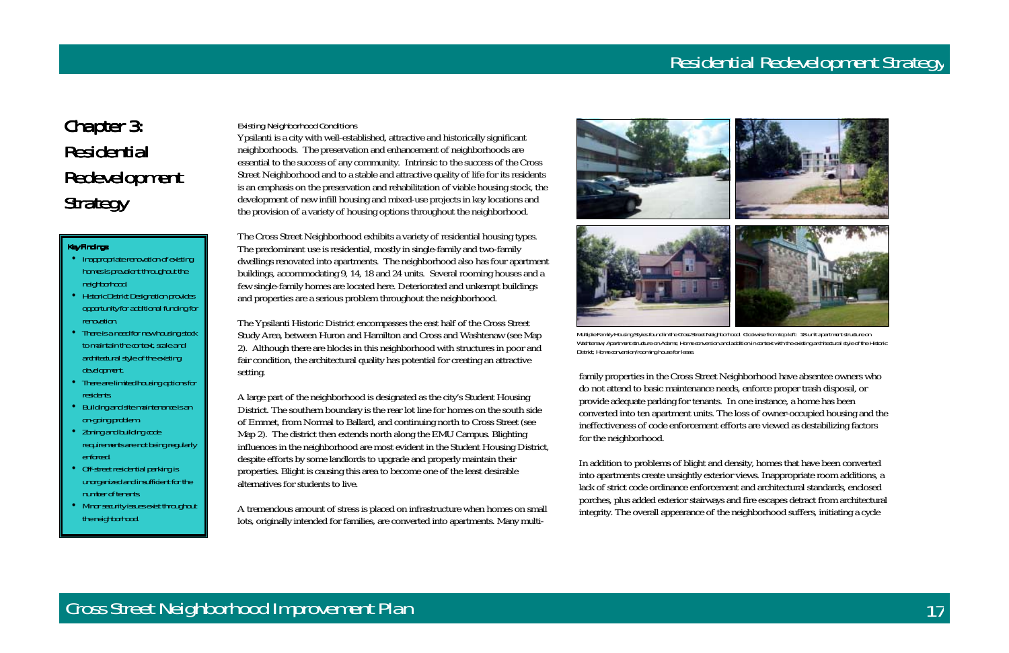# Chapter 3: Residential Redevelopment Strategy

#### **Key Findings:**



Existing Neighborhood Conditions

Ypsilanti is a city with well-established, attractive and historically significant neighborhoods. The preservation and enhancement of neighborhoods are essential to the success of any community. Intrinsic to the success of the Cross Street Neighborhood and to a stable and attractive quality of life for its residents is an emphasis on the preservation and rehabilitation of viable housing stock, the development of new infill housing and mixed-use projects in key locations and the provision of a variety of housing options throughout the neighborhood.

The Cross Street Neighborhood exhibits a variety of residential housing types. The predominant use is residential, mostly in single-family and two-family dwellings renovated into apartments. The neighborhood also has four apartment buildings, accommodating 9, 14, 18 and 24 units. Several rooming houses and a few single-family homes are located here. Deteriorated and unkempt buildings and properties are a serious problem throughout the neighborhood.

The Ypsilanti Historic District encompasses the east half of the Cross Street Study Area, between Huron and Hamilton and Cross and Washtenaw (see Map 2). Although there are blocks in this neighborhood with structures in poor and fair condition, the architectural quality has potential for creating an attractive setting.

A large part of the neighborhood is designated as the city's Student Housing District. The southern boundary is the rear lot line for homes on the south side of Emmet, from Normal to Ballard, and continuing north to Cross Street (see Map 2). The district then extends north along the EMU Campus. Blighting influences in the neighborhood are most evident in the Student Housing District, despite efforts by some landlords to upgrade and properly maintain their properties. Blight is causing this area to become one of the least desirable alternatives for students to live.

- Inappropriate renovation of existing homes is prevalent throughout the neighborhood.
- Historic District Designation provides opportunity for additional funding for renovation.
- There is a need for new housing stock to maintain the context, scale and architectural style of the existing development.
- There are limited housing options for residents.
- Building and site maintenance is an on-going problem.
- Zoning and building code requirements are not being regularly enforced.
- Off-street residential parking is unorganized and insufficient for the number of tenants.
- Minor security issues exist throughout the neighborhood.

A tremendous amount of stress is placed on infrastructure when homes on small lots, originally intended for families, are converted into apartments. Many multi-





Multiple Family Housing Styles found in the Cross Street Neighborhood. Clockwise from top left: 18-unit apartment structure on Washtenaw; Apartment structure on Adams; Home conversion and addition in context with the existing architectural style of the Historic District; Home conversion/rooming house for lease.

family properties in the Cross Street Neighborhood have absentee owners who<br>do not attend to basic maintenance needs, enforce proper trash disposal, or<br>provide adequate parking for tenants. In one instance, a home has been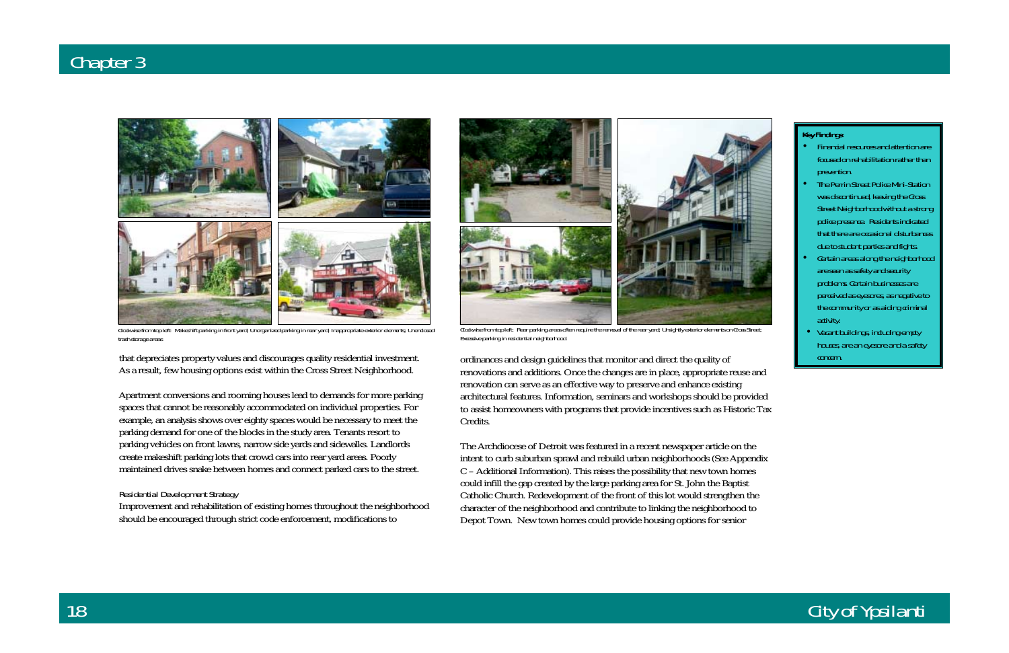#### **Key Findings:**

## City of Ypsilanti

that depreciates property values and discourages quality residential investment. As a result, few housing options exist within the Cross Street Neighborhood.

Apartment conversions and rooming houses lead to demands for more parking spaces that cannot be reasonably accommodated on individual properties. For example, an analysis shows over eighty spaces would be necessary to meet the parking demand for one of the blocks in the study area. Tenants resort to parking vehicles on front lawns, narrow side yards and sidewalks. Landlords create makeshift parking lots that crowd cars into rear yard areas. Poorly maintained drives snake between homes and connect parked cars to the street.

#### Residential Development Strategy

Improvement and rehabilitation of existing homes throughout the neighborhood should be encouraged through strict code enforcement, modifications to

ordinances and design guidelines that monitor and direct the quality of renovations and additions. Once the changes are in place, appropriate reuse and renovation can serve as an effective way to preserve and enhance existing architectural features. Information, seminars and workshops should be provided to assist homeowners with programs that provide incentives such as Historic Tax Credits.

The Archdiocese of Detroit was featured in a recent newspaper article on the intent to curb suburban sprawl and rebuild urban neighborhoods (See Appendix C – Additional Information). This raises the possibility that new town homes could infill the gap created by the large parking area for St. John the Baptist Catholic Church. Redevelopment of the front of this lot would strengthen the character of the neighborhood and contribute to linking the neighborhood to Depot Town. New town homes could provide housing options for senior

- Financial resources and attention are focused on rehabilitation rather than prevention.
- The Perrin Street Police Mini-Station was discontinued, leaving the Cross Street Neighborhood without a strong police presence. Residents indicated that there are occasional disturbances due to student parties and fights.
- Certain areas along the neighborhood are seen as safety and security problems. Certain businesses are perceived as eyesores, as negative to the community or as aiding criminal activity.
- Vacant buildings, including empty houses, are an eyesore and a safety concern.



Clockwise from top left: Rear parking areas often require the removal of the rear yard; Unsightly exterior elements on Cross Street; Excessive parking in residential neighborhood.



Clockwise from top left: Makeshift parking in front yard; Unorganized parking in rear yard; Inappropriate exterior elements; Unenclosed trash storage areas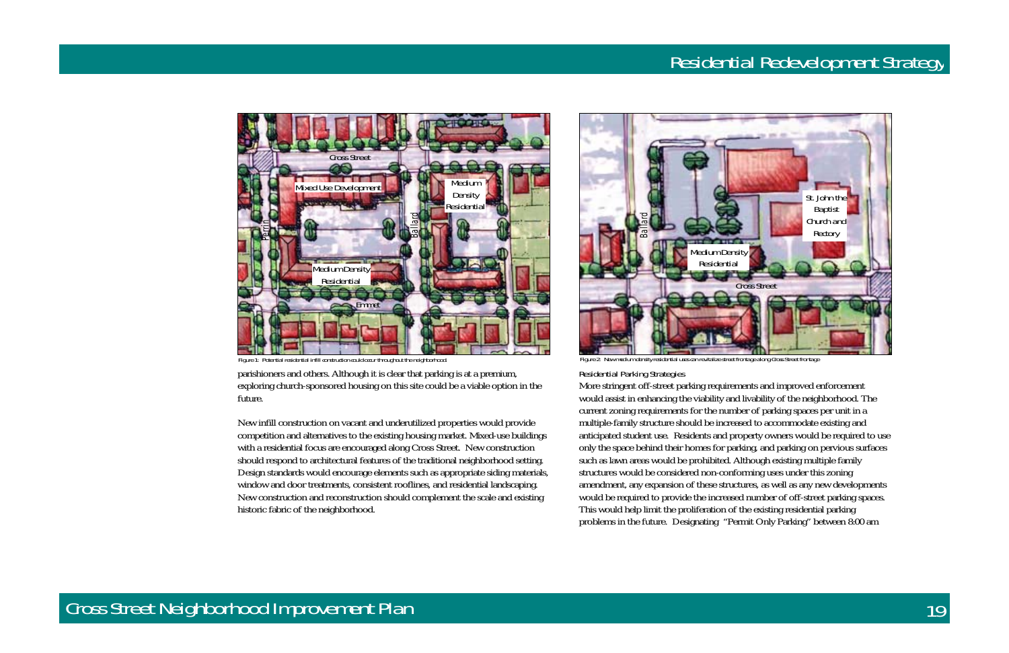parishioners and others. Although it is clear that parking is at a premium, exploring church-sponsored housing on this site could be a viable option in the future.

New infill construction on vacant and underutilized properties would provide competition and alternatives to the existing housing market. Mixed-use buildings with a residential focus are encouraged along Cross Street. New construction should respond to architectural features of the traditional neighborhood setting. Design standards would encourage elements such as appropriate siding materials, window and door treatments, consistent rooflines, and residential landscaping. New construction and reconstruction should complement the scale and existing historic fabric of the neighborhood.

Residential Parking Strategies



otential residential infill construction could occur throughout the neighborhood.

More stringent off-street parking requirements and improved enforcement would assist in enhancing the viability and livability of the neighborhood. The current zoning requirements for the number of parking spaces per unit in a multiple-family structure should be increased to accommodate existing and anticipated student use. Residents and property owners would be required to use only the space behind their homes for parking, and parking on pervious surfaces such as lawn areas would be prohibited. Although existing multiple family structures would be considered non-conforming uses under this zoning amendment, any expansion of these structures, as well as any new developments would be required to provide the increased number of off-street parking spaces. This would help limit the proliferation of the existing residential parking problems in the future. Designating "Permit Only Parking" between 8:00 am





Figure 2: New medium density residential uses can revitalize street frontage along Cross Street frontage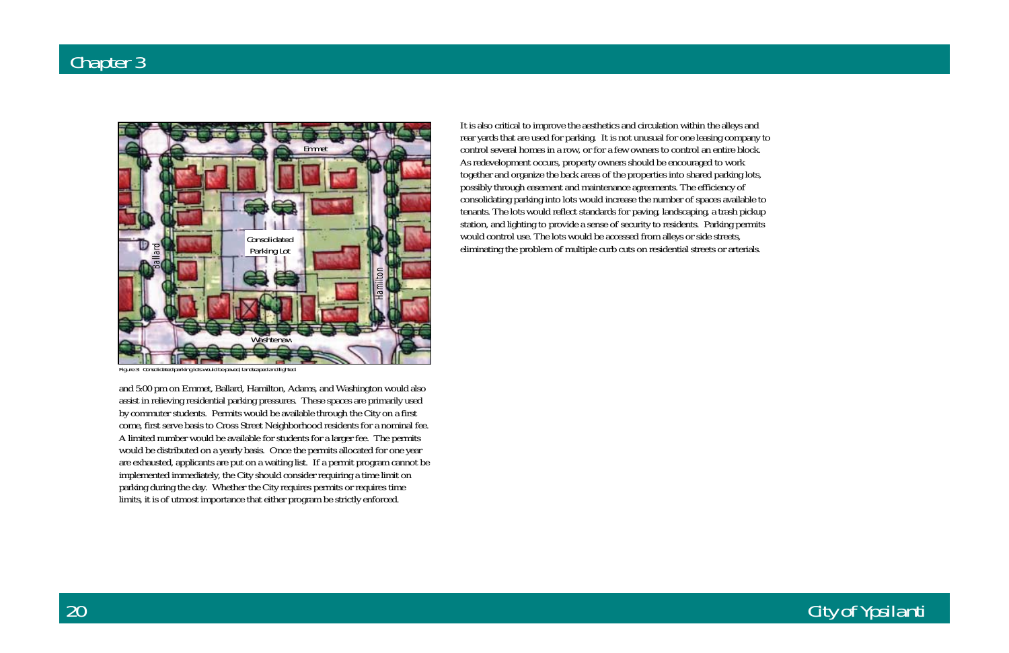### City of Ypsilanti

and 5:00 pm on Emmet, Ballard, Hamilton, Adams, and Washington would also assist in relieving residential parking pressures. These spaces are primarily used by commuter students. Permits would be available through the City on a first come, first serve basis to Cross Street Neighborhood residents for a nominal fee. A limited number would be available for students for a larger fee. The permits would be distributed on a yearly basis. Once the permits allocated for one year are exhausted, applicants are put on a waiting list. If a permit program cannot be implemented immediately, the City should consider requiring a time limit on parking during the day. Whether the City requires permits or requires time limits, it is of utmost importance that either program be strictly enforced.

It is also critical to improve the aesthetics and circulation within the alleys and rear yards that are used for parking. It is not unusual for one leasing company to control several homes in a row, or for a few owners to control an entire block. As redevelopment occurs, property owners should be encouraged to work together and organize the back areas of the properties into shared parking lots, possibly through easement and maintenance agreements. The efficiency of consolidating parking into lots would increase the number of spaces available to tenants. The lots would reflect standards for paving, landscaping, a trash pickup station, and lighting to provide a sense of security to residents. Parking permits would control use. The lots would be accessed from alleys or side streets, eliminating the problem of multiple curb cuts on residential streets or arterials.



Figure 3: Consolidated parking lots would be paved, landscaped and lighted.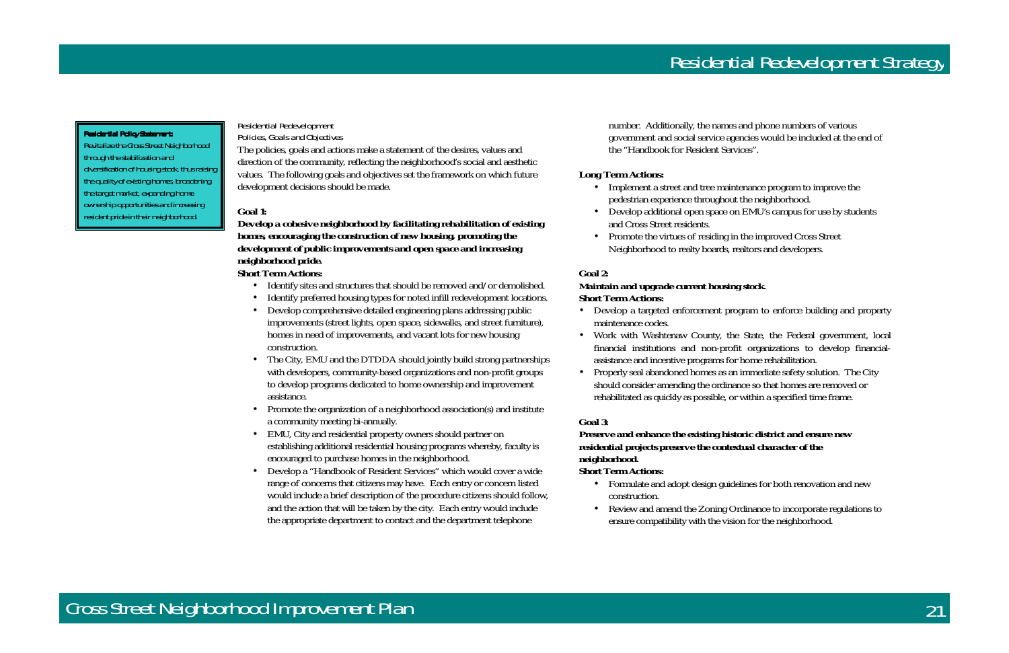#### **Residential Policy Statement:**

Residential Redevelopment Policies, Goals and Objectives

The policies, goals and actions make a statement of the desires, values and direction of the community, reflecting the neighborhood's social and aesthetic values. The following goals and objectives set the framework on which future development decisions should be made.

#### **Goal 1:**

### *Develop a cohesive neighborhood by facilitating rehabilitation of existing homes, encouraging the construction of new housing, promoting the development of public improvements and open space and increasing neighborhood pride.*

#### **Short Term Actions:**

- Identify sites and structures that should be removed and/or demolished.
- Identify preferred housing types for noted infill redevelopment locations.
- Develop comprehensive detailed engineering plans addressing public improvements (street lights, open space, sidewalks, and street furniture), homes in need of improvements, and vacant lots for new housing construction.
- The City, EMU and the DTDDA should jointly build strong partnerships with developers, community-based organizations and non-profit groups to develop programs dedicated to home ownership and improvement assistance.
- Promote the organization of a neighborhood association(s) and institute a community meeting bi-annually.
- EMU, City and residential property owners should partner on establishing additional residential housing programs whereby, faculty is encouraged to purchase homes in the neighborhood.
- Develop a "Handbook of Resident Services" which would cover a wide range of concerns that citizens may have. Each entry or concern listed would include a brief description of the procedure citizens should follow, and the action that will be taken by the city. Each entry would include the appropriate department to contact and the department telephone

number. Additionally, the names and phone numbers of various government and social service agencies would be included at the end of the "Handbook for Resident Services".

#### **Long Term Actions:**

- Implement a street and tree maintenance program to improve the pedestrian experience throughout the neighborhood.
- Develop additional open space on EMU's campus for use by students and Cross Street residents.
- Promote the virtues of residing in the improved Cross Street Neighborhood to realty boards, realtors and developers.

#### **Goal 2:**

#### *Maintain and upgrade current housing stock.*  **Short Term Actions:**

- Develop a targeted enforcement program to enforce building and property maintenance codes.
- Work with Washtenaw County, the State, the Federal government, local financial institutions and non-profit organizations to develop financialassistance and incentive programs for home rehabilitation.
- Properly seal abandoned homes as an immediate safety solution. The City should consider amending the ordinance so that homes are removed or rehabilitated as quickly as possible, or within a specified time frame.

#### **Goal 3:**

### *Preserve and enhance the existing historic district and ensure new residential projects preserve the contextual character of the neighborhood.*

#### **Short Term Actions:**

- Formulate and adopt design guidelines for both renovation and new construction.
- Review and amend the Zoning Ordinance to incorporate regulations to ensure compatibility with the vision for the neighborhood.



Revitalize the Cross Street Neighborhood through the stabilization and diversification of housing stock, thus raising the quality of existing homes, broadening the target market, expanding home ownership opportunities and increasing resident pride in their neighborhood.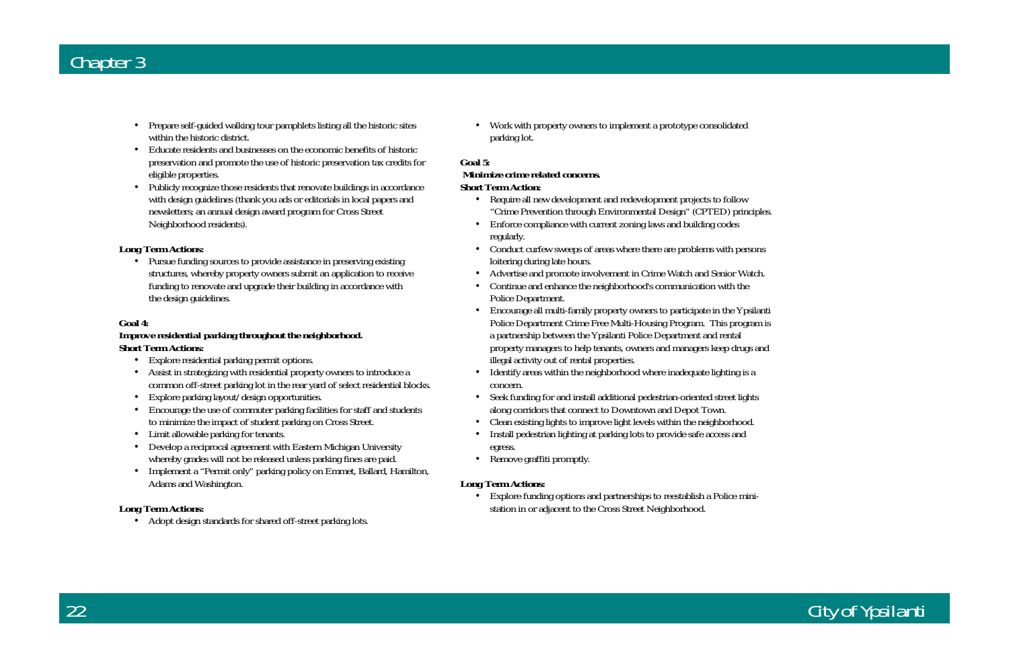## City of Ypsilanti

- Prepare self-guided walking tour pamphlets listing all the historic sites within the historic district.
- Educate residents and businesses on the economic benefits of historic preservation and promote the use of historic preservation tax credits for eligible properties.
- Publicly recognize those residents that renovate buildings in accordance with design guidelines (thank you ads or editorials in local papers and newsletters; an annual design award program for Cross Street Neighborhood residents).

• Pursue funding sources to provide assistance in preserving existing structures, whereby property owners submit an application to receive funding to renovate and upgrade their building in accordance with the design guidelines.

#### **Long Term Actions:**

#### **Goal 4:**

#### *Improve residential parking throughout the neighborhood.*  **Short Term Actions:**

- Explore residential parking permit options.
- Assist in strategizing with residential property owners to introduce a common off-street parking lot in the rear yard of select residential blocks.
- Explore parking layout/design opportunities.
- Encourage the use of commuter parking facilities for staff and students to minimize the impact of student parking on Cross Street.
- Limit allowable parking for tenants.
- Develop a reciprocal agreement with Eastern Michigan University whereby grades will not be released unless parking fines are paid.
- Implement a "Permit only" parking policy on Emmet, Ballard, Hamilton, Adams and Washington.

#### **Long Term Actions:**

• Adopt design standards for shared off-street parking lots.

• Work with property owners to implement a prototype consolidated parking lot.

#### **Goal 5:**

#### *Minimize crime related concerns.***Short Term Action:**

- Require all new development and redevelopment projects to follow "Crime Prevention through Environmental Design" (CPTED) principles.
- Enforce compliance with current zoning laws and building codes regularly.
- Conduct curfew sweeps of areas where there are problems with persons loitering during late hours.
- Advertise and promote involvement in Crime Watch and Senior Watch.
- Continue and enhance the neighborhood's communication with the Police Department.
- Encourage all multi-family property owners to participate in the Ypsilanti Police Department Crime Free Multi-Housing Program. This program is a partnership between the Ypsilanti Police Department and rental property managers to help tenants, owners and managers keep drugs and illegal activity out of rental properties.
- Identify areas within the neighborhood where inadequate lighting is a concern.
- Seek funding for and install additional pedestrian-oriented street lights along corridors that connect to Downtown and Depot Town.
- Clean existing lights to improve light levels within the neighborhood.
- Install pedestrian lighting at parking lots to provide safe access and egress.
- Remove graffiti promptly.

#### **Long Term Actions:**

• Explore funding options and partnerships to reestablish a Police ministation in or adjacent to the Cross Street Neighborhood.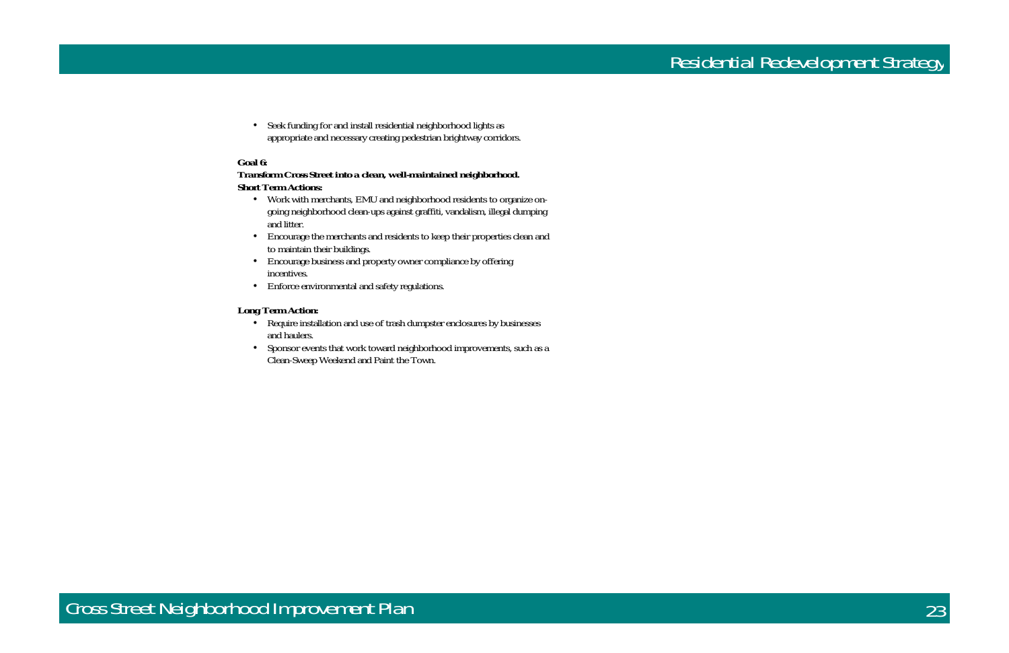

• Seek funding for and install residential neighborhood lights as appropriate and necessary creating pedestrian brightway corridors.

#### **Goal 6:**

#### *Transform Cross Street into a clean, well-maintained neighborhood.*  **Short Term Actions:**

- Work with merchants, EMU and neighborhood residents to organize ongoing neighborhood clean-ups against graffiti, vandalism, illegal dumping and litter.
- Encourage the merchants and residents to keep their properties clean and to maintain their buildings.
- Encourage business and property owner compliance by offering incentives.
- Enforce environmental and safety regulations.

#### **Long Term Action:**

- Require installation and use of trash dumpster enclosures by businesses and haulers.
- Sponsor events that work toward neighborhood improvements, such as a Clean-Sweep Weekend and Paint the Town.